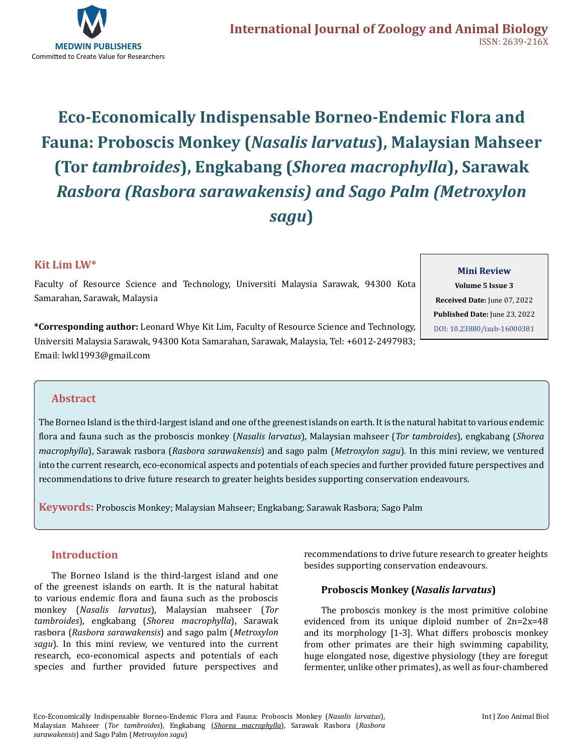

# **Eco-Economically Indispensable Borneo-Endemic Flora and Fauna: Proboscis Monkey (***Nasalis larvatus***), Malaysian Mahseer (Tor** *tambroides***), Engkabang (***Shorea macrophylla***), Sarawak**  *Rasbora (Rasbora sarawakensis) and Sago Palm (Metroxylon sagu***)**

# **Kit Lim LW\***

Faculty of Resource Science and Technology, Universiti Malaysia Sarawak, 94300 Kota Samarahan, Sarawak, Malaysia

#### **Mini Review**

**Volume 5 Issue 3 Received Date:** June 07, 2022 **Published Date:** June 23, 2022 [DOI: 10.23880/izab-16000381](https://doi.org/10.23880/izab-16000381)

**\*Corresponding author:** Leonard Whye Kit Lim, Faculty of Resource Science and Technology, Universiti Malaysia Sarawak, 94300 Kota Samarahan, Sarawak, Malaysia, Tel: +6012-2497983; Email: lwkl1993@gmail.com

# **Abstract**

The Borneo Island is the third-largest island and one of the greenest islands on earth. It is the natural habitat to various endemic flora and fauna such as the proboscis monkey (*Nasalis larvatus*), Malaysian mahseer (*Tor tambroides*), engkabang (*Shorea macrophylla*), Sarawak rasbora (*Rasbora sarawakensis*) and sago palm (*Metroxylon sagu*). In this mini review, we ventured into the current research, eco-economical aspects and potentials of each species and further provided future perspectives and recommendations to drive future research to greater heights besides supporting conservation endeavours.

**Keywords:** Proboscis Monkey; Malaysian Mahseer; Engkabang; Sarawak Rasbora; Sago Palm

# **Introduction**

The Borneo Island is the third-largest island and one of the greenest islands on earth. It is the natural habitat to various endemic flora and fauna such as the proboscis monkey (*Nasalis larvatus*), Malaysian mahseer (*Tor tambroides*), engkabang (*Shorea macrophylla*), Sarawak rasbora (*Rasbora sarawakensis*) and sago palm (*Metroxylon sagu*). In this mini review, we ventured into the current research, eco-economical aspects and potentials of each species and further provided future perspectives and

recommendations to drive future research to greater heights besides supporting conservation endeavours.

# **Proboscis Monkey (***Nasalis larvatus***)**

The proboscis monkey is the most primitive colobine evidenced from its unique diploid number of 2n=2x=48 and its morphology [1-3]. What differs proboscis monkey from other primates are their high swimming capability, huge elongated nose, digestive physiology (they are foregut fermenter, unlike other primates), as well as four-chambered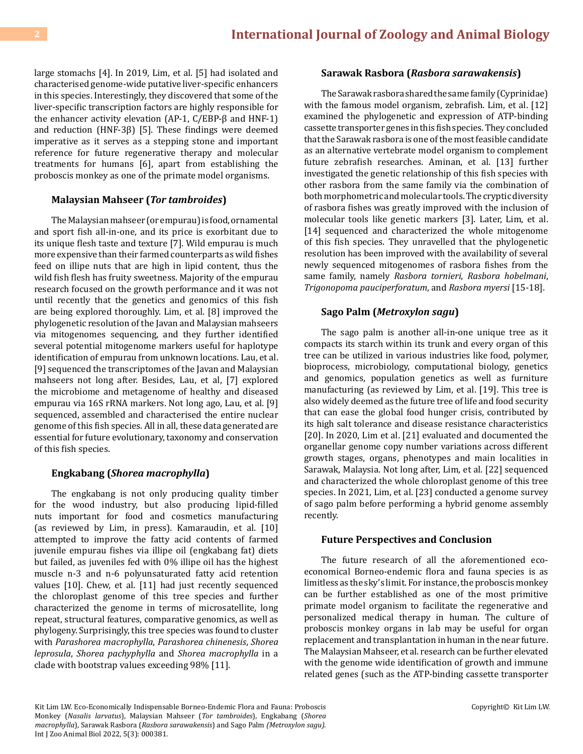large stomachs [4]. In 2019, Lim, et al. [5] had isolated and characterised genome-wide putative liver-specific enhancers in this species. Interestingly, they discovered that some of the liver-specific transcription factors are highly responsible for the enhancer activity elevation (AP-1, C/EBP-β and HNF-1) and reduction (HNF-3β) [5]. These findings were deemed imperative as it serves as a stepping stone and important reference for future regenerative therapy and molecular treatments for humans [6], apart from establishing the proboscis monkey as one of the primate model organisms.

#### **Malaysian Mahseer (***Tor tambroides***)**

The Malaysian mahseer (or empurau) is food, ornamental and sport fish all-in-one, and its price is exorbitant due to its unique flesh taste and texture [7]. Wild empurau is much more expensive than their farmed counterparts as wild fishes feed on illipe nuts that are high in lipid content, thus the wild fish flesh has fruity sweetness. Majority of the empurau research focused on the growth performance and it was not until recently that the genetics and genomics of this fish are being explored thoroughly. Lim, et al. [8] improved the phylogenetic resolution of the Javan and Malaysian mahseers via mitogenomes sequencing, and they further identified several potential mitogenome markers useful for haplotype identification of empurau from unknown locations. Lau, et al. [9] sequenced the transcriptomes of the Javan and Malaysian mahseers not long after. Besides, Lau, et al, [7] explored the microbiome and metagenome of healthy and diseased empurau via 16S rRNA markers. Not long ago, Lau, et al. [9] sequenced, assembled and characterised the entire nuclear genome of this fish species. All in all, these data generated are essential for future evolutionary, taxonomy and conservation of this fish species.

#### **Engkabang (***Shorea macrophylla***)**

The engkabang is not only producing quality timber for the wood industry, but also producing lipid-filled nuts important for food and cosmetics manufacturing (as reviewed by Lim, in press). Kamaraudin, et al. [10] attempted to improve the fatty acid contents of farmed juvenile empurau fishes via illipe oil (engkabang fat) diets but failed, as juveniles fed with 0% illipe oil has the highest muscle n-3 and n-6 polyunsaturated fatty acid retention values [10]. Chew, et al. [11] had just recently sequenced the chloroplast genome of this tree species and further characterized the genome in terms of microsatellite, long repeat, structural features, comparative genomics, as well as phylogeny. Surprisingly, this tree species was found to cluster with *Parashorea macrophylla*, *Parashorea chinenesis*, *Shorea leprosula*, *Shorea pachyphylla* and *Shorea macrophylla* in a clade with bootstrap values exceeding 98% [11].

#### **Sarawak Rasbora (***Rasbora sarawakensis***)**

The Sarawak rasbora shared the same family (Cyprinidae) with the famous model organism, zebrafish. Lim, et al. [12] examined the phylogenetic and expression of ATP-binding cassette transporter genes in this fish species. They concluded that the Sarawak rasbora is one of the most feasible candidate as an alternative vertebrate model organism to complement future zebrafish researches. Aminan, et al. [13] further investigated the genetic relationship of this fish species with other rasbora from the same family via the combination of both morphometric and molecular tools. The cryptic diversity of rasbora fishes was greatly improved with the inclusion of molecular tools like genetic markers [3]. Later, Lim, et al. [14] sequenced and characterized the whole mitogenome of this fish species. They unravelled that the phylogenetic resolution has been improved with the availability of several newly sequenced mitogenomes of rasbora fishes from the same family, namely *Rasbora tornieri*, *Rasbora hobelmani*, *Trigonopoma pauciperforatum*, and *Rasbora myersi* [15-18].

#### **Sago Palm (***Metroxylon sagu***)**

The sago palm is another all-in-one unique tree as it compacts its starch within its trunk and every organ of this tree can be utilized in various industries like food, polymer, bioprocess, microbiology, computational biology, genetics and genomics, population genetics as well as furniture manufacturing (as reviewed by Lim, et al. [19]. This tree is also widely deemed as the future tree of life and food security that can ease the global food hunger crisis, contributed by its high salt tolerance and disease resistance characteristics [20]. In 2020, Lim et al. [21] evaluated and documented the organellar genome copy number variations across different growth stages, organs, phenotypes and main localities in Sarawak, Malaysia. Not long after, Lim, et al. [22] sequenced and characterized the whole chloroplast genome of this tree species. In 2021, Lim, et al. [23] conducted a genome survey of sago palm before performing a hybrid genome assembly recently.

#### **Future Perspectives and Conclusion**

The future research of all the aforementioned ecoeconomical Borneo-endemic flora and fauna species is as limitless as the sky's limit. For instance, the proboscis monkey can be further established as one of the most primitive primate model organism to facilitate the regenerative and personalized medical therapy in human. The culture of proboscis monkey organs in lab may be useful for organ replacement and transplantation in human in the near future. The Malaysian Mahseer, et al. research can be further elevated with the genome wide identification of growth and immune related genes (such as the ATP-binding cassette transporter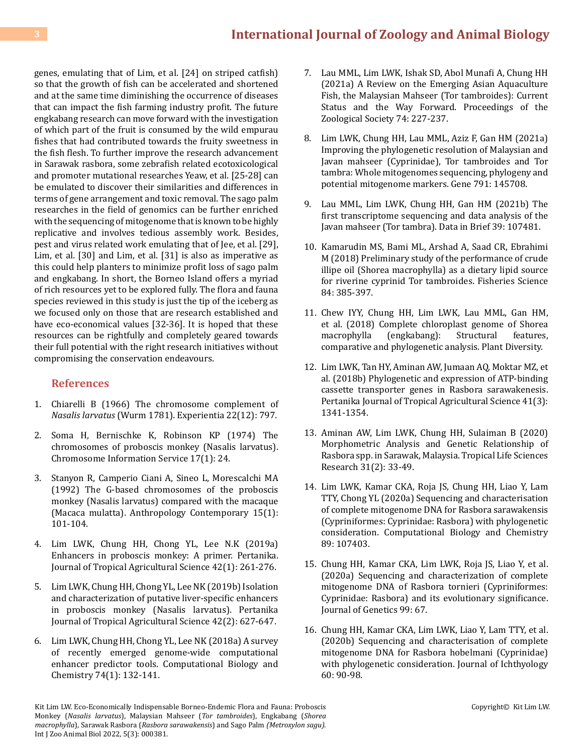# **3 [International Journal of Zoology and Animal Biology](https://medwinpublishers.com/IZAB/)**

genes, emulating that of Lim, et al. [24] on striped catfish) so that the growth of fish can be accelerated and shortened and at the same time diminishing the occurrence of diseases that can impact the fish farming industry profit. The future engkabang research can move forward with the investigation of which part of the fruit is consumed by the wild empurau fishes that had contributed towards the fruity sweetness in the fish flesh. To further improve the research advancement in Sarawak rasbora, some zebrafish related ecotoxicological and promoter mutational researches Yeaw, et al. [25-28] can be emulated to discover their similarities and differences in terms of gene arrangement and toxic removal. The sago palm researches in the field of genomics can be further enriched with the sequencing of mitogenome that is known to be highly replicative and involves tedious assembly work. Besides, pest and virus related work emulating that of Jee, et al. [29], Lim, et al. [30] and Lim, et al. [31] is also as imperative as this could help planters to minimize profit loss of sago palm and engkabang. In short, the Borneo Island offers a myriad of rich resources yet to be explored fully. The flora and fauna species reviewed in this study is just the tip of the iceberg as we focused only on those that are research established and have eco-economical values [32-36]. It is hoped that these resources can be rightfully and completely geared towards their full potential with the right research initiatives without compromising the conservation endeavours.

### **References**

- 1. [Chiarelli B \(1966\) The chromosome complement of](https://www.semanticscholar.org/paper/The-chromosome-complement-ofNasalis-larvatus-(Wurm-Chiarelli/73fc1c8ce91a8b5077e1673a89d46f592ae4187e) *Nasalis larvatus* [\(Wurm 1781\). Experientia 22\(12\): 797.](https://www.semanticscholar.org/paper/The-chromosome-complement-ofNasalis-larvatus-(Wurm-Chiarelli/73fc1c8ce91a8b5077e1673a89d46f592ae4187e)
- 2. Soma H, Bernischke K, Robinson KP (1974) The chromosomes of proboscis monkey (Nasalis larvatus). Chromosome Information Service 17(1): 24.
- 3. Stanyon R, Camperio Ciani A, Sineo L, Morescalchi MA (1992) The G-based chromosomes of the proboscis monkey (Nasalis larvatus) compared with the macaque (Macaca mulatta). Anthropology Contemporary 15(1): 101-104.
- 4. [Lim LWK, Chung HH, Chong YL, Lee N.K \(2019a\)](https://web.s.ebscohost.com/abstract?direct=true&profile=ehost&scope=site&authtype=crawler&jrnl=15113701&AN=135884118&h=pptAaF6mCNA2DiypvoW4fcV7n1Pqmsr86dOHG%2fP0HAYC7jpcTH0fZIo8S6K%2bKGl6nj3ecb0u%2bsGzWBOpzSoudQ%3d%3d&crl=c&resultNs=AdminWebAuth&resultLocal=ErrCrlNotAuth&crlhashurl=login.aspx%3fdirect%3dtrue%26profile%3dehost%26scope%3dsite%26authtype%3dcrawler%26jrnl%3d15113701%26AN%3d135884118) [Enhancers in proboscis monkey: A primer. Pertanika.](https://web.s.ebscohost.com/abstract?direct=true&profile=ehost&scope=site&authtype=crawler&jrnl=15113701&AN=135884118&h=pptAaF6mCNA2DiypvoW4fcV7n1Pqmsr86dOHG%2fP0HAYC7jpcTH0fZIo8S6K%2bKGl6nj3ecb0u%2bsGzWBOpzSoudQ%3d%3d&crl=c&resultNs=AdminWebAuth&resultLocal=ErrCrlNotAuth&crlhashurl=login.aspx%3fdirect%3dtrue%26profile%3dehost%26scope%3dsite%26authtype%3dcrawler%26jrnl%3d15113701%26AN%3d135884118) [Journal of Tropical Agricultural Science 42\(1\): 261-276.](https://web.s.ebscohost.com/abstract?direct=true&profile=ehost&scope=site&authtype=crawler&jrnl=15113701&AN=135884118&h=pptAaF6mCNA2DiypvoW4fcV7n1Pqmsr86dOHG%2fP0HAYC7jpcTH0fZIo8S6K%2bKGl6nj3ecb0u%2bsGzWBOpzSoudQ%3d%3d&crl=c&resultNs=AdminWebAuth&resultLocal=ErrCrlNotAuth&crlhashurl=login.aspx%3fdirect%3dtrue%26profile%3dehost%26scope%3dsite%26authtype%3dcrawler%26jrnl%3d15113701%26AN%3d135884118)
- 5. [Lim LWK, Chung HH, Chong YL, Lee NK \(2019b\) Isolation](http://www.pertanika.upm.edu.my/pjtas/browse/archives?article=JTAS-1580-2018) [and characterization of putative liver-specific enhancers](http://www.pertanika.upm.edu.my/pjtas/browse/archives?article=JTAS-1580-2018) [in proboscis monkey \(Nasalis larvatus\). Pertanika](http://www.pertanika.upm.edu.my/pjtas/browse/archives?article=JTAS-1580-2018) [Journal of Tropical Agricultural Science 42\(2\): 627-647.](http://www.pertanika.upm.edu.my/pjtas/browse/archives?article=JTAS-1580-2018)
- 6. [Lim LWK, Chung HH, Chong YL, Lee NK \(2018a\) A survey](https://pubmed.ncbi.nlm.nih.gov/29602043/) [of recently emerged genome-wide computational](https://pubmed.ncbi.nlm.nih.gov/29602043/) [enhancer predictor tools. Computational Biology and](https://pubmed.ncbi.nlm.nih.gov/29602043/) [Chemistry 74\(1\): 132-141.](https://pubmed.ncbi.nlm.nih.gov/29602043/)
- 7. [Lau MML, Lim LWK, Ishak SD, Abol Munafi A, Chung HH](https://link.springer.com/article/10.1007/s12595-021-00368-4) [\(2021a\) A Review on the Emerging Asian Aquaculture](https://link.springer.com/article/10.1007/s12595-021-00368-4) [Fish, the Malaysian Mahseer \(Tor tambroides\): Current](https://link.springer.com/article/10.1007/s12595-021-00368-4)  [Status and the Way Forward. Proceedings of the](https://link.springer.com/article/10.1007/s12595-021-00368-4)  [Zoological Society 74: 227-237.](https://link.springer.com/article/10.1007/s12595-021-00368-4)
- 8. [Lim LWK, Chung HH, Lau MML, Aziz F, Gan HM \(2021a\)](https://www.sciencedirect.com/science/article/abs/pii/S0378111921003024) [Improving the phylogenetic resolution of Malaysian and](https://www.sciencedirect.com/science/article/abs/pii/S0378111921003024)  [Javan mahseer \(Cyprinidae\), Tor tambroides and Tor](https://www.sciencedirect.com/science/article/abs/pii/S0378111921003024) [tambra: Whole mitogenomes sequencing, phylogeny and](https://www.sciencedirect.com/science/article/abs/pii/S0378111921003024) [potential mitogenome markers. Gene 791: 145708.](https://www.sciencedirect.com/science/article/abs/pii/S0378111921003024)
- 9. [Lau MML, Lim LWK, Chung HH, Gan HM \(2021b\) The](https://www.sciencedirect.com/science/article/pii/S2352340921007629) [first transcriptome sequencing and data analysis of the](https://www.sciencedirect.com/science/article/pii/S2352340921007629) [Javan mahseer \(Tor tambra\). Data in Brief 39: 107481.](https://www.sciencedirect.com/science/article/pii/S2352340921007629)
- 10. [Kamarudin MS, Bami ML, Arshad A, Saad CR, Ebrahimi](https://link.springer.com/article/10.1007/s12562-017-1160-7) [M \(2018\) Preliminary study of the performance of crude](https://link.springer.com/article/10.1007/s12562-017-1160-7) [illipe oil \(Shorea macrophylla\) as a dietary lipid source](https://link.springer.com/article/10.1007/s12562-017-1160-7) [for riverine cyprinid Tor tambroides. Fisheries Science](https://link.springer.com/article/10.1007/s12562-017-1160-7) [84: 385-397.](https://link.springer.com/article/10.1007/s12562-017-1160-7)
- 11. Chew IYY, Chung HH, Lim LWK, Lau MML, Gan HM, et al. (2018) Complete chloroplast genome of Shorea<br>macrophylla (engkabang): Structural features, (engkabang): comparative and phylogenetic analysis. Plant Diversity.
- 12. [Lim LWK, Tan HY, Aminan AW, Jumaan AQ, Moktar MZ, et](https://agris.fao.org/agris-search/search.do?recordID=MY2021007405)  [al. \(2018b\) Phylogenetic and expression of ATP-binding](https://agris.fao.org/agris-search/search.do?recordID=MY2021007405) [cassette transporter genes in Rasbora sarawakenesis.](https://agris.fao.org/agris-search/search.do?recordID=MY2021007405) [Pertanika Journal of Tropical Agricultural Science 41\(3\):](https://agris.fao.org/agris-search/search.do?recordID=MY2021007405) [1341-1354.](https://agris.fao.org/agris-search/search.do?recordID=MY2021007405)
- 13. [Aminan AW, Lim LWK, Chung HH, Sulaiman B \(2020\)](https://www.ncbi.nlm.nih.gov/pmc/articles/PMC7470476/) [Morphometric Analysis and Genetic Relationship of](https://www.ncbi.nlm.nih.gov/pmc/articles/PMC7470476/) [Rasbora spp. in Sarawak, Malaysia. Tropical Life Sciences](https://www.ncbi.nlm.nih.gov/pmc/articles/PMC7470476/) [Research 31\(2\): 33-49.](https://www.ncbi.nlm.nih.gov/pmc/articles/PMC7470476/)
- 14. [Lim LWK, Kamar CKA, Roja JS, Chung HH, Liao Y, Lam](https://www.sciencedirect.com/science/article/abs/pii/S1476927119303093)  [TTY, Chong YL \(2020a\) Sequencing and characterisation](https://www.sciencedirect.com/science/article/abs/pii/S1476927119303093) [of complete mitogenome DNA for Rasbora sarawakensis](https://www.sciencedirect.com/science/article/abs/pii/S1476927119303093) [\(Cypriniformes: Cyprinidae: Rasbora\) with phylogenetic](https://www.sciencedirect.com/science/article/abs/pii/S1476927119303093)  [consideration. Computational Biology and Chemistry](https://www.sciencedirect.com/science/article/abs/pii/S1476927119303093) [89: 107403.](https://www.sciencedirect.com/science/article/abs/pii/S1476927119303093)
- 15. [Chung HH, Kamar CKA, Lim LWK, Roja JS, Liao Y, et al.](https://link.springer.com/article/10.1007/s12041-020-01221-x)  [\(2020a\) Sequencing and characterization of complete](https://link.springer.com/article/10.1007/s12041-020-01221-x) [mitogenome DNA of Rasbora tornieri \(Cypriniformes:](https://link.springer.com/article/10.1007/s12041-020-01221-x) [Cyprinidae: Rasbora\) and its evolutionary significance.](https://link.springer.com/article/10.1007/s12041-020-01221-x) [Journal of Genetics 99: 67.](https://link.springer.com/article/10.1007/s12041-020-01221-x)
- 16. [Chung HH, Kamar CKA, Lim LWK, Liao Y, Lam TTY, et al.](https://link.springer.com/article/10.1134/S0032945220010014)  [\(2020b\) Sequencing and characterisation of complete](https://link.springer.com/article/10.1134/S0032945220010014) [mitogenome DNA for Rasbora hobelmani \(Cyprinidae\)](https://link.springer.com/article/10.1134/S0032945220010014) [with phylogenetic consideration. Journal of Ichthyology](https://link.springer.com/article/10.1134/S0032945220010014)  [60: 90-98.](https://link.springer.com/article/10.1134/S0032945220010014)